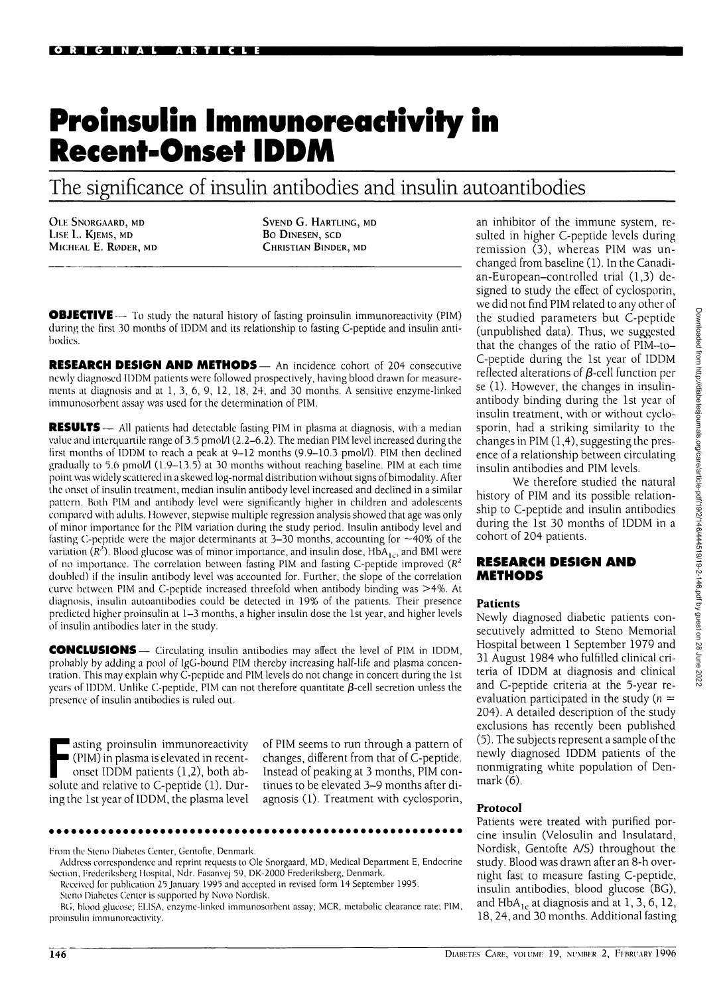# **Proinsulin Immunoreactivity in Recent-Onset IDDM**

The significance of insulin antibodies and insulin autoantibodies

OLE SNORGAARD, MD LISE L. KJEMS, MD MICHEAL E. RØDER, MD

SVEND G. HARTLING, MD BO DlNESEN, SCD CHRISTIAN BINDER, MD

**OBJECTIVE** — To study the natural history of fasting proinsulin immunoreactivity (PIM) during the first 30 months of IDDM and its relationship to fasting C-peptide and insulin antibodies.

**RESEARCH DESIGN AND METHODS—** An incidence cohort of 204 consecutive newly diagnosed IDDM patients were followed prospectively, having blood drawn for measurements at diagnosis and at 1,3, 6, 9, 12, 18, 24, and 30 months. A sensitive enzyme-linked immunosorbent assay was used for the determination of PIM.

**RESULTS** — All patients had detectable fasting PIM in plasma at diagnosis, with a median value and interquartile range of 3.5 pmol/1 (2.2-6.2). The median PIM level increased during the first months of IDDM to reach a peak at 9-12 months (9.9-10.3 pmol/1). PIM then declined gradually to 5.6 pmol/ $(1.9-13.5)$  at 30 months without reaching baseline. PIM at each time point was widely scattered in a skewed log-normal distribution without signs of bimodality. After the onset of insulin treatment, median insulin antibody level increased and declined in a similar pattern. Both PIM and antibody level were significantly higher in children and adolescents compared with adults. However, stepwise multiple regression analysis showed that age was only of minor importance for the PIM variation during the study period. Insulin antibody level and fasting C-peptide were the major determinants at 3-30 months, accounting for  $\sim$ 40% of the variation ( $R^2$ ). Blood glucose was of minor importance, and insulin dose, HbA<sub>10</sub>, and BM1 were of no importance. The correlation between fasting PIM and fasting C-peptide improved  $(R^2)$ doubled) if the insulin antibody level was accounted for. Further, the slope of the correlation curve between PIM and C-peptide increased threefold when antibody binding was >4%. At diagnosis, insulin autoantibodies could be detected in 19% of the patients. Their presence predicted higher proinsulin at 1-3 months, a higher insulin dose the 1st year, and higher levels of insulin antibodies later in the study.

**CONCLUSIONS** — Circulating insulin antibodies may affect the level of PIM in IDDM, probably by adding a pool of IgG-bound PIM thereby increasing half-life and plasma concentration. This may explain why C-peptide and PIM levels do not change in concert during the 1st years of IDDM. Unlike C-peptide, PIM can not therefore quantitate  $\beta$ -cell secretion unless the presence of insulin antibodies is ruled out.

asting proinsulin immunoreactivity<br>(PIM) in plasma is elevated in recent-<br>onset IDDM patients  $(1,2)$ , both ab-<br>solute and relative to C-pentide  $(1)$ . Dur-(PIM) in plasma is elevated in recentonset IDDM patients (1,2), both absolute and relative to C-peptide (1). During the 1st year of IDDM, the plasma level of PIM seems to run through a pattern of changes, different from that of C-peptide. Instead of peaking at 3 months, PIM continues to be elevated 3-9 months after diagnosis (1). Treatment with cyclosporin,

From the Steno Diabetes Center, Gentofte, Denmark.

Received for publication 25 January 1995 and accepted in revised form 14 September 1995. Steno Diabetes Center is supported by Novo Nordisk.

BG, blood glucose; EL.1SA, enzyme-linked immunosorbent assay; MCR, metabolic clearance rate; PIM, proinsulin immunoreactivity.

an inhibitor of the immune system, resulted in higher C-peptide levels during remission  $(3)$ , whereas PIM was unchanged from baseline (1). In the Canadian-European-controlled trial (1,3) designed to study the effect of cyclosporin, we did not find PIM related to any other of the studied parameters but C-peptide (unpublished data). Thus, we suggested that the changes of the ratio of PIM-to-C-peptide during the 1st year of IDDM reflected alterations of  $\beta$ -cell function per se (1). However, the changes in insulinantibody binding during the 1st year of insulin treatment, with or without cyclosporin, had a striking similarity to the changes in PIM (1,4), suggesting the presence of a relationship between circulating insulin antibodies and PIM levels.

We therefore studied the natural history of PIM and its possible relationship to C-peptide and insulin antibodies during the 1st 30 months of IDDM in a cohort of 204 patients.

### **RESEARCH DESIGN AND METHODS**

#### **Patients**

Newly diagnosed diabetic patients consecutively admitted to Steno Memorial Hospital between 1 September 1979 and 31 August 1984 who fulfilled clinical criteria of IDDM at diagnosis and clinical and C-peptide criteria at the 5-year reevaluation participated in the study ( $n =$ 204). A detailed description of the study exclusions has recently been published (5). The subjects represent a sample of the newly diagnosed IDDM patients of the nonmigrating white population of Denmark (6).

## **Protocol**

Patients were treated with purified porcine insulin (Velosulin and Insulatard, Nordisk, Gentofte A/S) throughout the study. Blood was drawn after an 8-h overnight fast to measure fasting C-peptide, insulin antibodies, blood glucose (BG), and  $HbA_{1c}$  at diagnosis and at 1, 3, 6, 12, 18, 24, and 30 months. Additional fasting

Address correspondence and reprint requests to Ole Snorgaard, MD, Medical Department E, Endocrine Section, Frederiksberg Hospital, Ndr. Fasanvej 59, DK-2000 Frederiksberg, Denmark.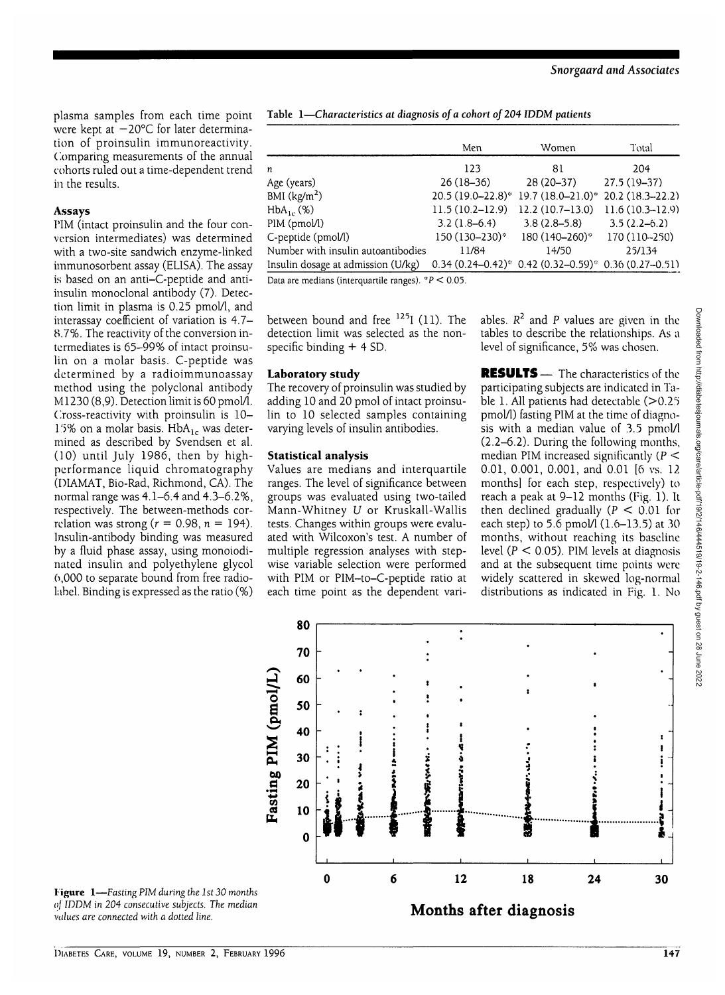plasma samples from each time point were kept at — 20°C for later determination of proinsulin immunoreactivity. Comparing measurements of the annual cohorts ruled out a time-dependent trend in the results.

# **Assays**

PIM (intact proinsulin and the four conversion intermediates) was determined with a two-site sandwich enzyme-linked immunosorbent assay (ELISA). The assay is based on an anti-C-peptide and antiinsulin monoclonal antibody (7). Detection limit in plasma is 0.25 pmol/l, and interassay coefficient of variation is 4.7- 8.7%. The reactivity of the conversion intermediates is 65-99% of intact proinsulin on a molar basis. C-peptide was determined by a radioimmunoassay method using the polyclonal antibody M1230 (8,9). Detection limit is 60 pmol/l. Cross-reactivity with proinsulin is 10- 15% on a molar basis.  $HbA_{1c}$  was determined as described by Svendsen et al. (10) until July 1986, then by highperformance liquid chromatography (D1AMAT, Bio-Rad, Richmond, CA). The normal range was 4.1-6.4 and 4.3-6.2%, respectively. The between-methods correlation was strong ( $r = 0.98$ ,  $n = 194$ ). Insulin-antibody binding was measured by a fluid phase assay, using monoiodinated insulin and polyethylene glycol 6,000 to separate bound from free radiolabel. Binding is expressed as the ratio (%) **Table 1—***Characteristics at diagnosis of a cohort of 204 IDDM patients*

|                                                                                         | Men                 | Women                                                          | Total               |
|-----------------------------------------------------------------------------------------|---------------------|----------------------------------------------------------------|---------------------|
|                                                                                         |                     |                                                                |                     |
| n                                                                                       | 123                 | 81                                                             | 204                 |
| Age (years)                                                                             | $26(18-36)$         | $28(20-37)$                                                    | $27.5(19-37)$       |
| BMI $(kg/m2)$                                                                           |                     | $20.5(19.0-22.8)^*19.7(18.0-21.0)^*$                           | $20.2(18.3 - 22.2)$ |
| $HbA_{1c}$ (%)                                                                          | $11.5(10.2 - 12.9)$ | $12.2(10.7-13.0)$                                              | $11.6(10.3-12.9)$   |
| PIM (pmol/l)                                                                            | $3.2(1.8-6.4)$      | $3.8(2.8-5.8)$                                                 | $3.5(2.2-6.2)$      |
| C-peptide (pmol/l)                                                                      | 150 (130-230)*      | 180 (140-260)*                                                 | 170 (110 - 250)     |
| Number with insulin autoantibodies                                                      | 11/84               | 14/50                                                          | 25/134              |
| Insulin dosage at admission (U/kg)                                                      |                     | $0.34 (0.24 - 0.42)^* 0.42 (0.32 - 0.59)^* 0.36 (0.27 - 0.51)$ |                     |
| $D_{\text{max}}$ and $D_{\text{max}}$ (intermediately non-real) $\#D \neq D$ $\Delta E$ |                     |                                                                |                     |

Data are medians (interquartile ranges).  $P < 0.05$ .

between bound and free  $^{125}$ I (11). The detection limit was selected as the nonspecific binding + 4 SD.

## **Laboratory study**

The recovery of proinsulin was studied by adding 10 and 20 pmol of intact proinsulin to 10 selected samples containing varying levels of insulin antibodies.

## **Statistical analysis**

Values are medians and interquartile ranges. The level of significance between groups was evaluated using two-tailed Mann-Whitney *U* or Kruskall-Wallis tests. Changes within groups were evaluated with Wilcoxon's test. A number of multiple regression analyses with stepwise variable selection were performed with PIM or PIM-to-C-peptide ratio at each time point as the dependent vari-

ables. *R2* and P values are given in the tables to describe the relationships. As a level of significance, 5% was chosen.

**RESULTS** — The characteristics of the participating subjects are indicated in Table 1. All patients had detectable  $(>0.25$ pmol/1) fasting PIM at the time of diagnosis with a median value of 3.5 pmol/1 (2.2-6.2). During the following months, median PIM increased significantly  $(P \leq$ 0.01, 0.001, 0.001, and 0.01 [6 vs. 12 months! for each step, respectively) to reach a peak at 9-12 months (Fig. 1). It then declined gradually ( $P < 0.01$  for each step) to 5.6 pmol $(1.6-13.5)$  at 30 months, without reaching its baseline level ( $P < 0.05$ ). PIM levels at diagnosis and at the subsequent time points were widely scattered in skewed log-normal distributions as indicated in Fig. 1. No



**Figure 1**—*Fasting PIM during the 1st 30 months of IDDM in 204 consecutive subjects. The median values are connected with a dotted line.*

DIABETES CARE, VOLUME 19, NUMBER 2, FEBRUARY 1996 147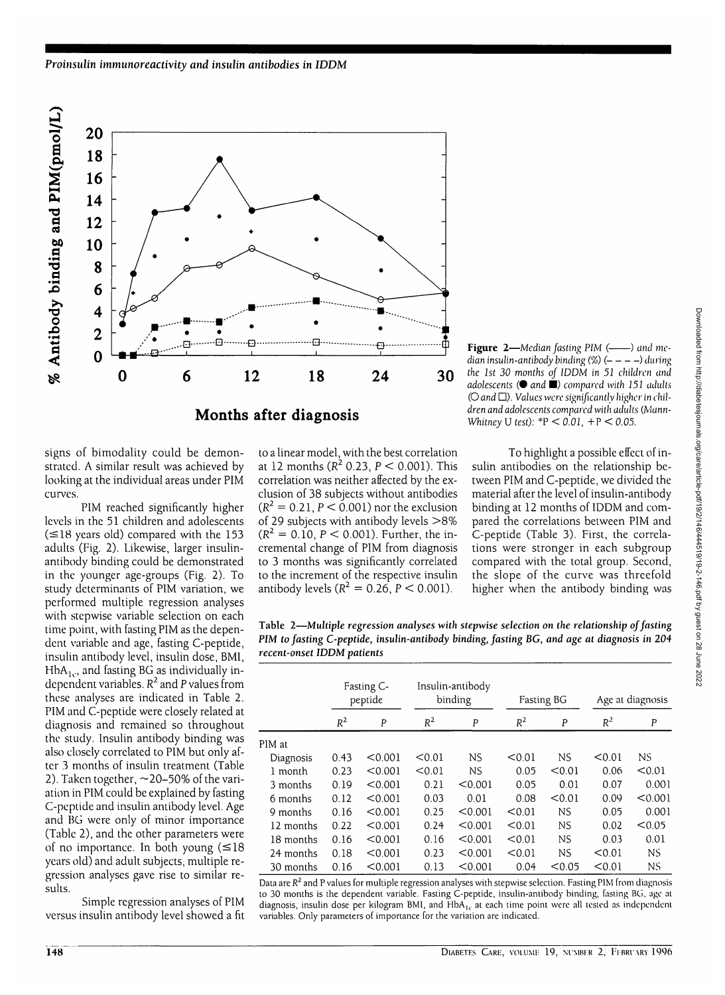

Figure 2-*Median fasting PIM* (-*)* and me*dian insulin-antibody binding (%)*  $(- - - -)$  *during the 1st 30 months of IDDM in 51 children and adolescents* (• *and* •) *compared with 151 adults* (O *and D). Values were significantly higher in children and adolescents compared with adults (Mann-Whitney* U *test):* \*P < *0.01,* +P < *0.05.*

signs of bimodality could be demonstrated. A similar result was achieved by looking at the individual areas under PIM curves.

PIM reached significantly higher levels in the 51 children and adolescents  $(\leq 18$  years old) compared with the 153 adults (Fig. 2). Likewise, larger insulinantibody binding could be demonstrated in the younger age-groups (Fig. 2). To study determinants of PIM variation, we performed multiple regression analyses with stepwise variable selection on each time point, with fasting PIM as the dependent variable and age, fasting C-peptide, insulin antibody level, insulin dose, BMI, HbA<sub>1c</sub>, and fasting BG as individually independent variables.  $R^2$  and P values from these analyses are indicated in Table 2. PIM and C-peptide were closely related at diagnosis and remained so throughout the study. Insulin antibody binding was also closely correlated to PIM but only after 3 months of insulin treatment (Table 2). Taken together,  $\sim$  20–50% of the variation in PIM could be explained by fasting C-peptide and insulin antibody level. Age and BG were only of minor importance (Table 2), and the other parameters were of no importance. In both young  $(\leq 18)$ years old) and adult subjects, multiple regression analyses gave rise to similar results.

Simple regression analyses of PIM versus insulin antibody level showed a fit

to a linear model, with the best correlation at 12 months ( $R^2$  0.23,  $P < 0.001$ ). This correlation was neither affected by the exclusion of 38 subjects without antibodies (R<sup>2</sup> = 0.21, P  $<$  0.001) nor the exclusion of 29 subjects with antibody levels >8%  $(R^2 = 0.10, P < 0.001)$ . Further, the incremental change of PIM from diagnosis to 3 months was significantly correlated to the increment of the respective insulin antibody levels ( $R^2 = 0.26$ ,  $P < 0.001$ ).

To highlight a possible effect of insulin antibodies on the relationship between PIM and C-peptide, we divided the material after the level of insulin-antibody binding at 12 months of IDDM and compared the correlations between PIM and C-peptide (Table 3). First, the correlations were stronger in each subgroup compared with the total group. Second, the slope of the curve was threefold higher when the antibody binding was

Table 2—Multiple *regression analyses with stepwise selection on the relationship of fasting PIM to fasting C-peptide, insulin-antibody binding, fasting BG, and age at diagnosis in 204 recent-onset IDDM patients*

|           | Fasting C-<br>peptide |         | Insulin-antibody<br>binding |         |        | <b>Fasting BG</b> |        | Age at diagnosis |  |
|-----------|-----------------------|---------|-----------------------------|---------|--------|-------------------|--------|------------------|--|
|           | $R^2$                 | P       | $R^2$                       | P       | $R^2$  | P                 | $R^2$  | P                |  |
| PIM at    |                       |         |                             |         |        |                   |        |                  |  |
| Diagnosis | 0.43                  | < 0.001 | < 0.01                      | NS      | < 0.01 | <b>NS</b>         | < 0.01 | NS.              |  |
| 1 month   | 0.23                  | < 0.001 | < 0.01                      | NS.     | 0.05   | < 0.01            | 0.06   | < 0.01           |  |
| 3 months  | 0.19                  | < 0.001 | 0.21                        | < 0.001 | 0.05   | 0.01              | 0.07   | 0.001            |  |
| 6 months  | 0.12                  | < 0.001 | 0.03                        | 0.01    | 0.08   | < 0.01            | 0.09   | < 0.001          |  |
| 9 months  | 0.16                  | < 0.001 | 0.25                        | < 0.001 | < 0.01 | <b>NS</b>         | 0.05   | 0.001            |  |
| 12 months | 0.22                  | < 0.001 | 0.24                        | < 0.001 | < 0.01 | <b>NS</b>         | 0.02   | < 0.05           |  |
| 18 months | 0.16                  | < 0.001 | 0.16                        | < 0.001 | < 0.01 | <b>NS</b>         | 0.03   | 0.01             |  |
| 24 months | 0.18                  | < 0.001 | 0.23                        | < 0.001 | < 0.01 | <b>NS</b>         | < 0.01 | NS.              |  |
| 30 months | 0.16                  | < 0.001 | 0.13                        | < 0.001 | 0.04   | < 0.05            | < 0.01 | NS.              |  |

Data are  $R^2$  and P values for multiple regression analyses with stepwise selection. Fasting PIM from diagnosis to 30 months is the dependent variable. Fasting C-peptide, insulin-antibody binding, fasting BG, age at diagnosis, insulin dose per kilogram BMI, and HbA<sub>1c</sub> at each time point were all tested as independent variables. Only parameters of importance for the variation are indicated.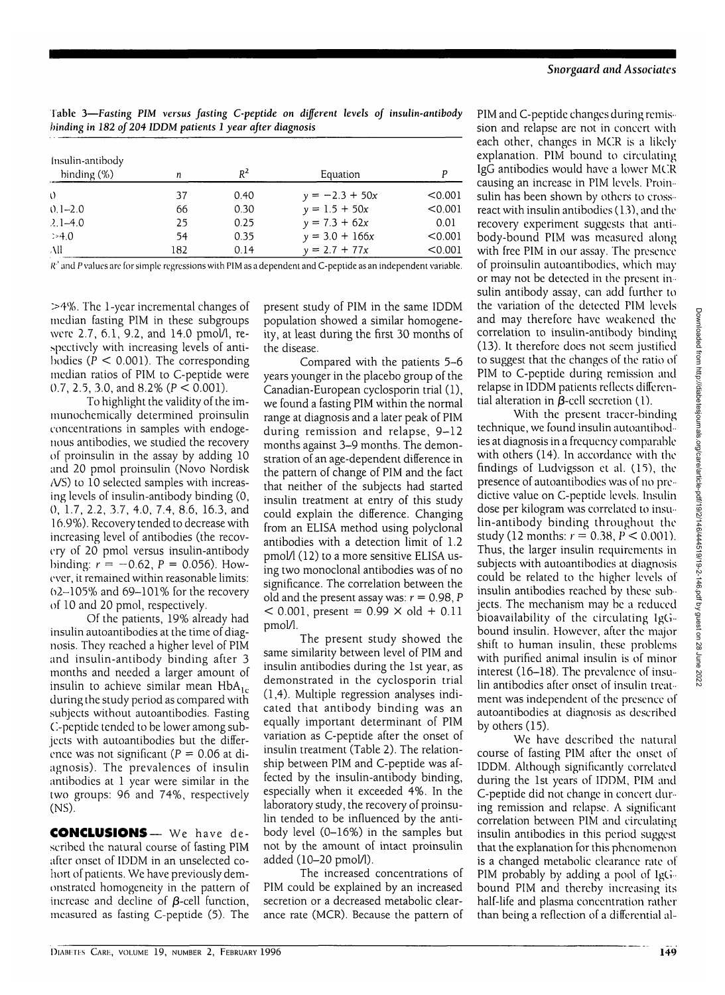| Table 3—Fasting PIM versus fasting C-peptide on different levels of insulin-antibody |  |  |  |  |  |
|--------------------------------------------------------------------------------------|--|--|--|--|--|
| binding in 182 of 204 IDDM patients 1 year after diagnosis                           |  |  |  |  |  |

| Insulin-antibody<br>binding $(\%)$ | n   | $R^2$ | Equation         |         |
|------------------------------------|-----|-------|------------------|---------|
| $\Omega$                           | 37  | 0.40  | $y = -2.3 + 50x$ | < 0.001 |
| $0.1 - 2.0$                        | 66  | 0.30  | $y = 1.5 + 50x$  | < 0.001 |
| $2.1 - 4.0$                        | 25  | 0.25  | $y = 7.3 + 62x$  | 0.01    |
| >4.0                               | 54  | 0.35  | $y = 3.0 + 166x$ | < 0.001 |
| All                                | 182 | 0.14  | $y = 2.7 + 77x$  | < 0.001 |

*R*' and P values are for simple regressions with PIM as a dependent and C-peptide as an independent variable.

>4%. The 1-year incremental changes of median fasting PIM in these subgroups were 2.7, 6.1, 9.2, and 14.0 pmol/1, respectively with increasing levels of antibodies ( $P < 0.001$ ). The corresponding median ratios of PIM to C-peptide were 0.7, 2.5, 3.0, and 8.2% ( $P < 0.001$ ).

To highlight the validity of the immunochemically determined proinsulin concentrations in samples with endogenous antibodies, we studied the recovery of proinsulin in the assay by adding 10 and 20 pmol proinsulin (Novo Nordisk A/S) to 10 selected samples with increasing levels of insulin-antibody binding (0, 0, 1.7, 2.2, 3.7, 4.0, 7.4, 8.6, 16.3, and 16.9%). Recovery tended to decrease with increasing level of antibodies (the recovery of 20 pmol versus insulin-antibody binding:  $r = -0.62$ ,  $P = 0.056$ ). However, it remained within reasonable limits: 02-105% and 69-101% for the recovery of 10 and 20 pmol, respectively.

Of the patients, 19% already had insulin autoantibodies at the time of diagnosis. They reached a higher level of PIM and insulin-antibody binding after 3 months and needed a larger amount of insulin to achieve similar mean  $HbA_{1c}$ during the study period as compared with subjects without autoantibodies. Fasting C-peptide tended to be lower among subjects with autoantibodies but the difference was not significant ( $P = 0.06$  at diagnosis). The prevalences of insulin antibodies at 1 year were similar in the two groups: 96 and 74%, respectively (NS).

CONCLUSIONS— We have described the natural course of fasting PIM after onset of IDDM in an unselected cohort of patients. We have previously demonstrated homogeneity in the pattern of increase and decline of  $\beta$ -cell function, measured as fasting C-peptide (5). The present study of PIM in the same IDDM population showed a similar homogeneity, at least during the first 30 months of the disease.

Compared with the patients 5-6 years younger in the placebo group of the Canadian-European cyclosporin trial (1), we found a fasting PIM within the normal range at diagnosis and a later peak of PIM during remission and relapse, 9-12 months against 3-9 months. The demonstration of an age-dependent difference in the pattern of change of PIM and the fact that neither of the subjects had started insulin treatment at entry of this study could explain the difference. Changing from an ELISA method using polyclonal antibodies with a detection limit of 1.2 pmol/l (12) to a more sensitive ELISA using two monoclonal antibodies was of no significance. The correlation between the old and the present assay was:  $r = 0.98$ , P  $<$  0.001, present = 0.99  $\times$  old + 0.11 pmol/1.

The present study showed the same similarity between level of PIM and insulin antibodies during the 1st year, as demonstrated in the cyclosporin trial (1,4). Multiple regression analyses indicated that antibody binding was an equally important determinant of PIM variation as C-peptide after the onset of insulin treatment (Table 2). The relationship between PIM and C-peptide was affected by the insulin-antibody binding, especially when it exceeded 4%. In the laboratory study, the recovery of proinsulin tended to be influenced by the antibody level (0-16%) in the samples but not by the amount of intact proinsulin added (10-20 pmol/1).

The increased concentrations of PIM could be explained by an increased secretion or a decreased metabolic clearance rate (MCR). Because the pattern of PIM and C-peptide changes during remission and relapse are not in concert with each other, changes in MCR is a likely explanation. PIM bound to circulating IgG antibodies would have a lower MCR causing an increase in PIM levels. Proinsulin has been shown by others to crossreact with insulin antibodies (13), and the recovery experiment suggests that antibody-bound PIM was measured along with free PIM in our assay. The presence of proinsulin autoantibodies, which may or may not be detected in the present insulin antibody assay, can add further to the variation of the detected PIM levels and may therefore have weakened the correlation to insulin-antibody binding (13). It therefore does not seem justified to suggest that the changes of the ratio of PIM to C-peptide during remission and relapse in IDDM patients reflects differential alteration in  $\beta$ -cell secretion (1).

With the present tracer-binding technique, we found insulin autoantibodies at diagnosis in a frequency comparable with others (14). In accordance with the findings of Ludvigsson et al. (15), the presence of autoantibodies was of no predictive value on C-peptide levels. Insulin dose per kilogram was correlated to insulin-antibody binding throughout the study (12 months: *r =* 0.38, *P <* 0.001). Thus, the larger insulin requirements in subjects with autoantibodies at diagnosis could be related to the higher levels of insulin antibodies reached by these subjects. The mechanism may be a reduced bioavailability of the circulating IgGbound insulin. However, after the major shift to human insulin, these problems with purified animal insulin is of minor interest (16-18). The prevalence of insulin antibodies after onset of insulin treatment was independent of the presence of autoantibodies at diagnosis as described by others (15).

We have described the natural course of fasting PIM after the onset of IDDM. Although significantly correlated during the 1st years of IDDM, PIM and C-peptide did not change in concert during remission and relapse. A significant correlation between PIM and circulating insulin antibodies in this period suggest that the explanation for this phenomenon is a changed metabolic clearance rate of PIM probably by adding a pool of IgG $\cdot$ bound PIM and thereby increasing its half-life and plasma concentration rather than being a reflection of a differential al